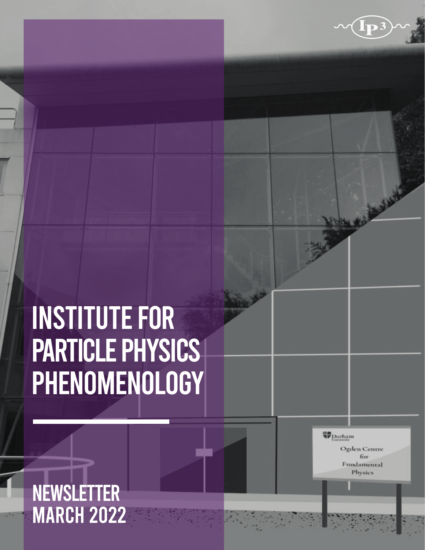### INSTITUTE FOR PARTICLE PHYSICS PHENOMENOLOGY

**W** Durham

Ogden Centre for Fundamental Physics

**ANNA** 

### **NEWSLETTER MARCH 2022**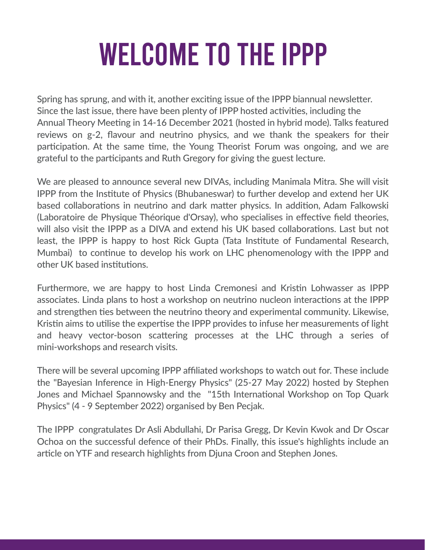## WELCOME TO THE IPPP

Spring has sprung, and with it, another exciting issue of the IPPP biannual newsletter. Since the last issue, there have been plenty of IPPP hosted activities, including the Annual Theory Meeting in 14-16 December 2021 (hosted in hybrid mode). Talks featured reviews on g-2, flavour and neutrino physics, and we thank the speakers for their participation. At the same time, the Young Theorist Forum was ongoing, and we are grateful to the participants and Ruth Gregory for giving the guest lecture.

We are pleased to announce several new DIVAs, including Manimala Mitra. She will visit IPPP from the Institute of Physics (Bhubaneswar) to further develop and extend her UK based collaborations in neutrino and dark matter physics. In addition, Adam Falkowski (Laboratoire de Physique Théorique d'Orsay), who specialises in effective field theories, will also visit the IPPP as a DIVA and extend his UK based collaborations. Last but not least, the IPPP is happy to host Rick Gupta (Tata Institute of Fundamental Research, Mumbai) to continue to develop his work on LHC phenomenology with the IPPP and other UK based institutions.

Furthermore, we are happy to host Linda Cremonesi and Kristin Lohwasser as IPPP associates. Linda plans to host a workshop on neutrino nucleon interactions at the IPPP and strengthen ties between the neutrino theory and experimental community. Likewise, Kristin aims to utilise the expertise the IPPP provides to infuse her measurements of light and heavy vector-boson scattering processes at the LHC through a series of mini-workshops and research visits.

There will be several upcoming IPPP affiliated workshops to watch out for. These include the "Bayesian Inference in High-Energy Physics" (25-27 May 2022) hosted by Stephen Jones and Michael Spannowsky and the "15th International Workshop on Top Quark Physics" (4 - 9 September 2022) organised by Ben Pecjak.

The IPPP congratulates Dr Asli Abdullahi, Dr Parisa Gregg, Dr Kevin Kwok and Dr Oscar Ochoa on the successful defence of their PhDs. Finally, this issue's highlights include an article on YTF and research highlights from Djuna Croon and Stephen Jones.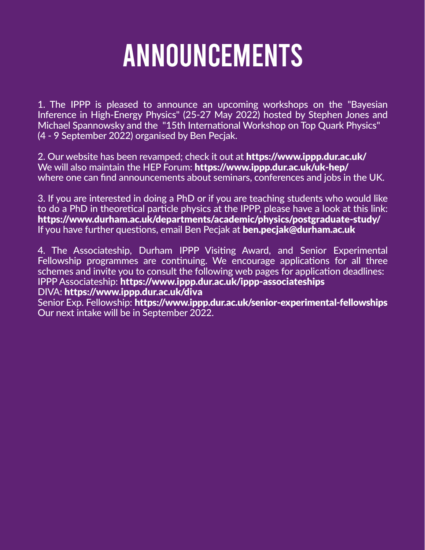### ANNOUNCEMENTS

1. The IPPP is pleased to announce an upcoming workshops on the "Bayesian Inference in High-Energy Physics" (25-27 May 2022) hosted by Stephen Jones and Michael Spannowsky and the "15th International Workshop on Top Quark Physics" (4 - 9 September 2022) organised by Ben Pecjak.

2. Our website has been revamped; check it out at https://www.ippp.dur.ac.uk/ We will also maintain the HEP Forum: https://www.ippp.dur.ac.uk/uk-hep/ where one can find announcements about seminars, conferences and jobs in the UK.

3. If you are interested in doing a PhD or if you are teaching students who would like to do a PhD in theoretical particle physics at the IPPP, please have a look at this link: https://www.durham.ac.uk/departments/academic/physics/postgraduate-study/ If you have further questions, email Ben Pecjak at ben.pecjak@durham.ac.uk

4. The Associateship, Durham IPPP Visiting Award, and Senior Experimental Fellowship programmes are continuing. We encourage applications for all three schemes and invite you to consult the following web pages for application deadlines: IPPP Associateship: https://www.ippp.dur.ac.uk/ippp-associateships

#### DIVA: https://www.ippp.dur.ac.uk/diva

Senior Exp. Fellowship: https://www.ippp.dur.ac.uk/senior-experimental-fellowships Our next intake will be in September 2022.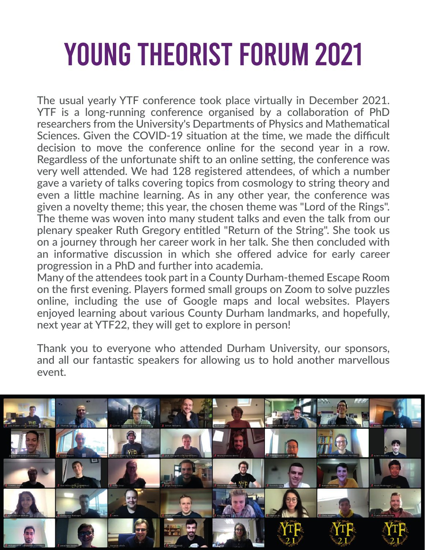## YOUNG THEORIST FORUM 2021

The usual yearly YTF conference took place virtually in December 2021. YTF is a long-running conference organised by a collaboration of PhD researchers from the University's Departments of Physics and Mathematical Sciences. Given the COVID-19 situation at the time, we made the difficult decision to move the conference online for the second year in a row. Regardless of the unfortunate shift to an online setting, the conference was very well attended. We had 128 registered attendees, of which a number gave a variety of talks covering topics from cosmology to string theory and even a little machine learning. As in any other year, the conference was given a novelty theme; this year, the chosen theme was "Lord of the Rings". The theme was woven into many student talks and even the talk from our plenary speaker Ruth Gregory entitled "Return of the String". She took us on a journey through her career work in her talk. She then concluded with an informative discussion in which she offered advice for early career progression in a PhD and further into academia.

Many of the attendees took part in a County Durham-themed Escape Room on the first evening. Players formed small groups on Zoom to solve puzzles online, including the use of Google maps and local websites. Players enjoyed learning about various County Durham landmarks, and hopefully, next year at YTF22, they will get to explore in person!

Thank you to everyone who attended Durham University, our sponsors, and all our fantastic speakers for allowing us to hold another marvellous event.

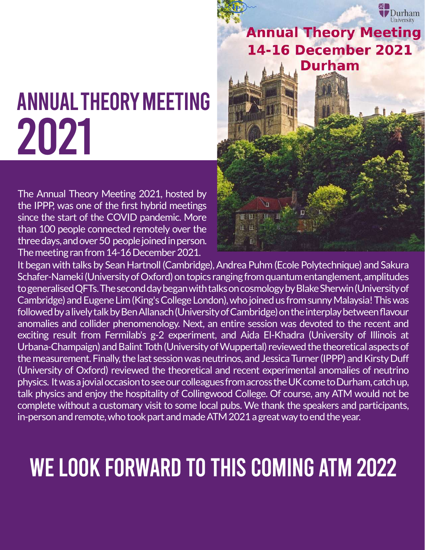

### **Annual Theory Meeting 14-16 December 2021 Durham**

# ANNUALTHEORYMEETING 2021

The Annual Theory Meeting 2021, hosted by the IPPP, was one of the first hybrid meetings since the start of the COVID pandemic. More than 100 people connected remotely over the three days, and over 50 people joined in person. The meeting ran from 14-16 December 2021.



It began with talks by Sean Hartnoll (Cambridge), Andrea Puhm (Ecole Polytechnique) and Sakura Schafer-Nameki (University of Oxford) on topics ranging from quantum entanglement, amplitudes to generalised QFTs. The second day began with talks on cosmology by Blake Sherwin (University of Cambridge) and Eugene Lim (King's College London), who joined us from sunny Malaysia! This was followed by a lively talk by Ben Allanach (University of Cambridge) on the interplay between flavour anomalies and collider phenomenology. Next, an entire session was devoted to the recent and exciting result from Fermilab's g-2 experiment, and Aida El-Khadra (University of Illinois at Urbana-Champaign) and Balint Toth (University of Wuppertal) reviewed the theoretical aspects of the measurement. Finally, the last session was neutrinos, and Jessica Turner (IPPP) and Kirsty Duff (University of Oxford) reviewed the theoretical and recent experimental anomalies of neutrino physics. It was a jovial occasion to see our colleagues from across the UK come to Durham, catch up, talk physics and enjoy the hospitality of Collingwood College. Of course, any ATM would not be complete without a customary visit to some local pubs. We thank the speakers and participants, in-person and remote, who took part and made ATM 2021 a great way to end the year.

### WE LOOK FORWARD TO THIS COMING ATM 2022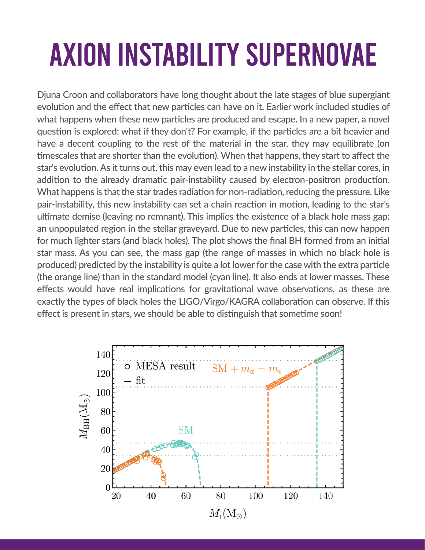## AXION INSTABILITY SUPERNOVAE

Djuna Croon and collaborators have long thought about the late stages of blue supergiant evolution and the effect that new particles can have on it. Earlier work included studies of what happens when these new particles are produced and escape. In a new paper, a novel question is explored: what if they don't? For example, if the particles are a bit heavier and have a decent coupling to the rest of the material in the star, they may equilibrate (on timescales that are shorter than the evolution). When that happens, they start to affect the star's evolution. As it turns out, this may even lead to a new instability in the stellar cores, in addition to the already dramatic pair-instability caused by electron-positron production. What happens is that the star trades radiation for non-radiation, reducing the pressure. Like pair-instability, this new instability can set a chain reaction in motion, leading to the star's ultimate demise (leaving no remnant). This implies the existence of a black hole mass gap: an unpopulated region in the stellar graveyard. Due to new particles, this can now happen for much lighter stars (and black holes). The plot shows the final BH formed from an initial star mass. As you can see, the mass gap (the range of masses in which no black hole is produced) predicted by the instability is quite a lot lower for the case with the extra particle (the orange line) than in the standard model (cyan line). It also ends at lower masses. These effects would have real implications for gravitational wave observations, as these are exactly the types of black holes the LIGO/Virgo/KAGRA collaboration can observe. If this effect is present in stars, we should be able to distinguish that sometime soon!